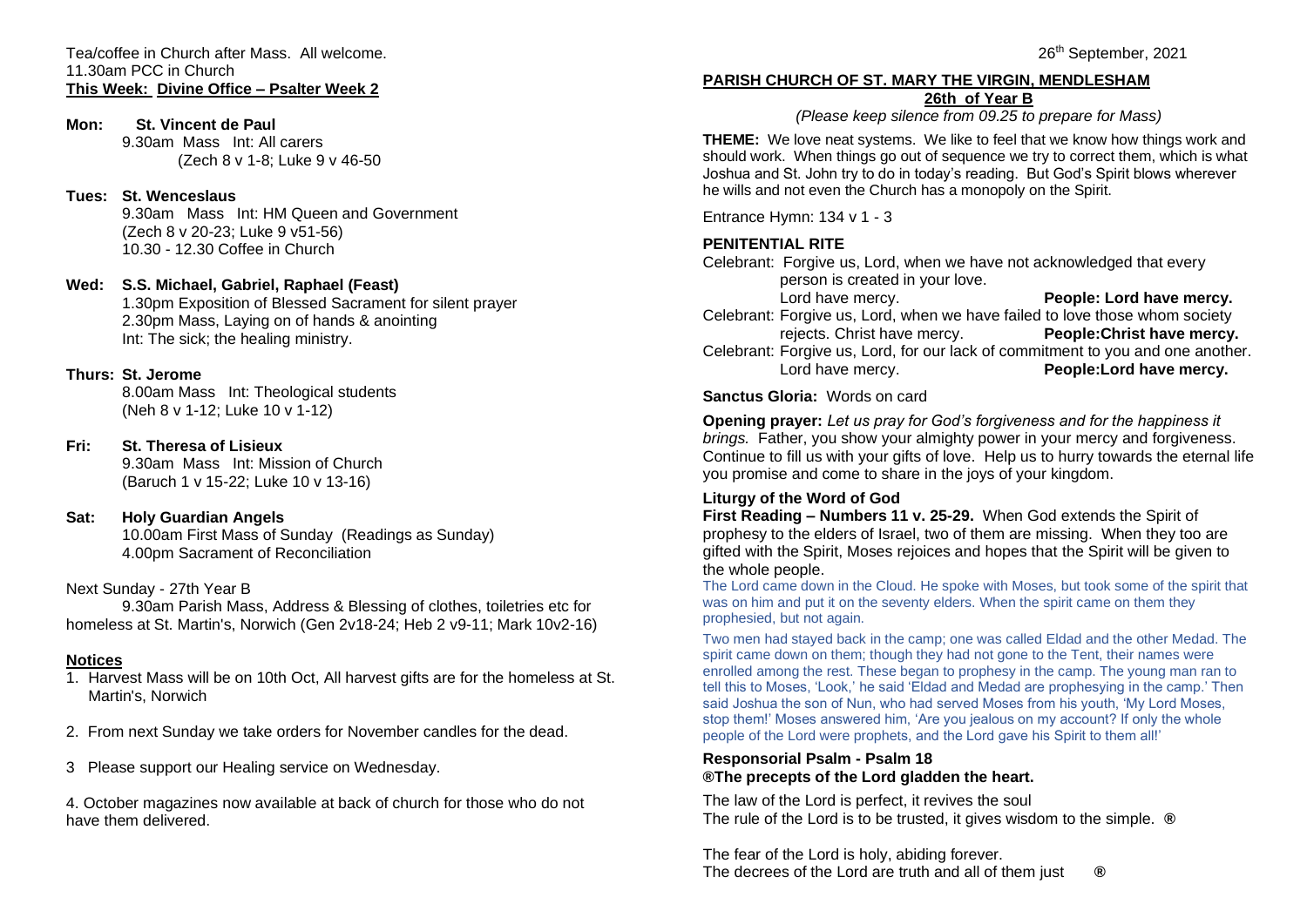Tea/coffee in Church after Mass. All welcome. 11.30am PCC in Church **This Week: Divine Office – Psalter Week 2**

## **Mon: St. Vincent de Paul**

9.30am Mass Int: All carers (Zech 8 v 1-8; Luke 9 v 46-50

# **Tues: St. Wenceslaus**

9.30am Mass Int: HM Queen and Government (Zech 8 v 20-23; Luke 9 v51-56) 10.30 - 12.30 Coffee in Church

#### **Wed: S.S. Michael, Gabriel, Raphael (Feast)**

1.30pm Exposition of Blessed Sacrament for silent prayer 2.30pm Mass, Laying on of hands & anointing Int: The sick; the healing ministry.

## **Thurs: St. Jerome**

8.00am Mass Int: Theological students (Neh 8 v 1-12; Luke 10 v 1-12)

## **Fri: St. Theresa of Lisieux**

9.30am Mass Int: Mission of Church (Baruch 1 v 15-22; Luke 10 v 13-16)

# **Sat: Holy Guardian Angels**

10.00am First Mass of Sunday (Readings as Sunday) 4.00pm Sacrament of Reconciliation

#### Next Sunday - 27th Year B

9.30am Parish Mass, Address & Blessing of clothes, toiletries etc for homeless at St. Martin's, Norwich (Gen 2v18-24; Heb 2 v9-11; Mark 10v2-16)

# **Notices**

- 1. Harvest Mass will be on 10th Oct, All harvest gifts are for the homeless at St. Martin's, Norwich
- 2. From next Sunday we take orders for November candles for the dead.
- 3 Please support our Healing service on Wednesday.

4. October magazines now available at back of church for those who do not have them delivered.

# **PARISH CHURCH OF ST. MARY THE VIRGIN, MENDLESHAM 26th of Year B**

*(Please keep silence from 09.25 to prepare for Mass)*

**THEME:** We love neat systems. We like to feel that we know how things work and should work. When things go out of sequence we try to correct them, which is what Joshua and St. John try to do in today's reading. But God's Spirit blows wherever he wills and not even the Church has a monopoly on the Spirit.

Entrance Hymn: 134 v 1 - 3

# **PENITENTIAL RITE**

Celebrant: Forgive us, Lord, when we have not acknowledged that every person is created in your love.

Lord have mercy. **People: Lord have mercy.** Celebrant: Forgive us, Lord, when we have failed to love those whom society<br>rejects. Christ have mercy. People: Christ have mercy.

rejects. Christ have mercy.

Celebrant: Forgive us, Lord, for our lack of commitment to you and one another.<br>Lord have mercy.<br>**People:Lord have mercy.** Lord have mercy. **People:Lord have mercy.**

#### **Sanctus Gloria:** Words on card

**Opening prayer:** *Let us pray for God's forgiveness and for the happiness it brings.* Father, you show your almighty power in your mercy and forgiveness. Continue to fill us with your gifts of love. Help us to hurry towards the eternal life you promise and come to share in the joys of your kingdom.

#### **Liturgy of the Word of God**

**First Reading – Numbers 11 v. 25-29.** When God extends the Spirit of prophesy to the elders of Israel, two of them are missing. When they too are gifted with the Spirit, Moses rejoices and hopes that the Spirit will be given to the whole people.

The Lord came down in the Cloud. He spoke with Moses, but took some of the spirit that was on him and put it on the seventy elders. When the spirit came on them they prophesied, but not again.

Two men had stayed back in the camp; one was called Eldad and the other Medad. The spirit came down on them; though they had not gone to the Tent, their names were enrolled among the rest. These began to prophesy in the camp. The young man ran to tell this to Moses, 'Look,' he said 'Eldad and Medad are prophesying in the camp.' Then said Joshua the son of Nun, who had served Moses from his youth, 'My Lord Moses, stop them!' Moses answered him, 'Are you jealous on my account? If only the whole people of the Lord were prophets, and the Lord gave his Spirit to them all!'

#### **Responsorial Psalm - Psalm 18 ®The precepts of the Lord gladden the heart.**

The law of the Lord is perfect, it revives the soul The rule of the Lord is to be trusted, it gives wisdom to the simple. **®**

The fear of the Lord is holy, abiding forever. The decrees of the Lord are truth and all of them just **®**